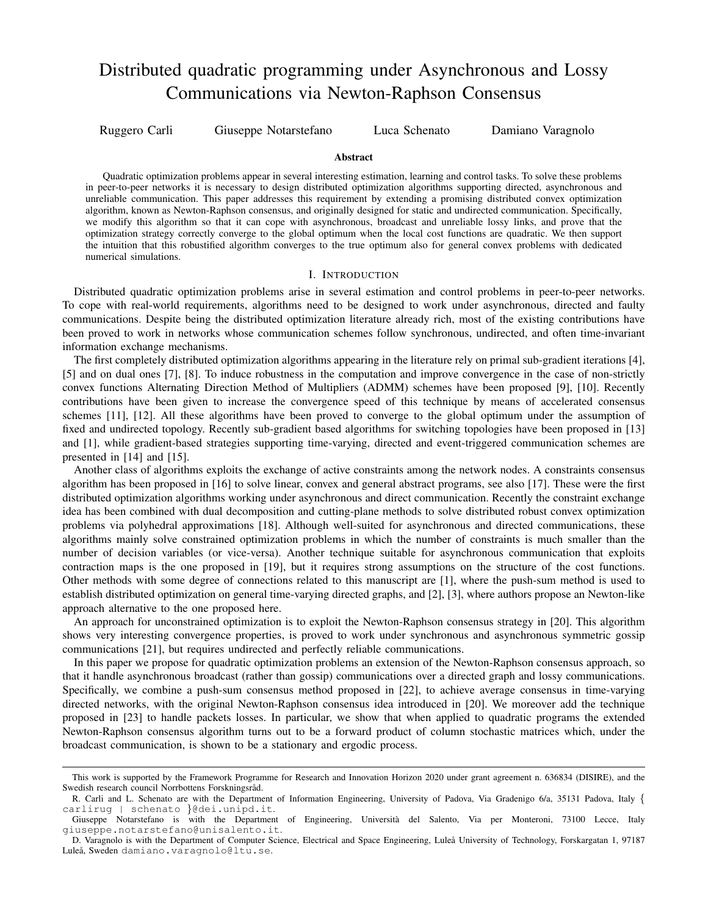# Distributed quadratic programming under Asynchronous and Lossy Communications via Newton-Raphson Consensus

Ruggero Carli Giuseppe Notarstefano Luca Schenato Damiano Varagnolo

### **Abstract**

Quadratic optimization problems appear in several interesting estimation, learning and control tasks. To solve these problems in peer-to-peer networks it is necessary to design distributed optimization algorithms supporting directed, asynchronous and unreliable communication. This paper addresses this requirement by extending a promising distributed convex optimization algorithm, known as Newton-Raphson consensus, and originally designed for static and undirected communication. Specifically, we modify this algorithm so that it can cope with asynchronous, broadcast and unreliable lossy links, and prove that the optimization strategy correctly converge to the global optimum when the local cost functions are quadratic. We then support the intuition that this robustified algorithm converges to the true optimum also for general convex problems with dedicated numerical simulations.

## I. INTRODUCTION

Distributed quadratic optimization problems arise in several estimation and control problems in peer-to-peer networks. To cope with real-world requirements, algorithms need to be designed to work under asynchronous, directed and faulty communications. Despite being the distributed optimization literature already rich, most of the existing contributions have been proved to work in networks whose communication schemes follow synchronous, undirected, and often time-invariant information exchange mechanisms.

The first completely distributed optimization algorithms appearing in the literature rely on primal sub-gradient iterations [4], [5] and on dual ones [7], [8]. To induce robustness in the computation and improve convergence in the case of non-strictly convex functions Alternating Direction Method of Multipliers (ADMM) schemes have been proposed [9], [10]. Recently contributions have been given to increase the convergence speed of this technique by means of accelerated consensus schemes [11], [12]. All these algorithms have been proved to converge to the global optimum under the assumption of fixed and undirected topology. Recently sub-gradient based algorithms for switching topologies have been proposed in [13] and [1], while gradient-based strategies supporting time-varying, directed and event-triggered communication schemes are presented in [14] and [15].

Another class of algorithms exploits the exchange of active constraints among the network nodes. A constraints consensus algorithm has been proposed in [16] to solve linear, convex and general abstract programs, see also [17]. These were the first distributed optimization algorithms working under asynchronous and direct communication. Recently the constraint exchange idea has been combined with dual decomposition and cutting-plane methods to solve distributed robust convex optimization problems via polyhedral approximations [18]. Although well-suited for asynchronous and directed communications, these algorithms mainly solve constrained optimization problems in which the number of constraints is much smaller than the number of decision variables (or vice-versa). Another technique suitable for asynchronous communication that exploits contraction maps is the one proposed in [19], but it requires strong assumptions on the structure of the cost functions. Other methods with some degree of connections related to this manuscript are [1], where the push-sum method is used to establish distributed optimization on general time-varying directed graphs, and [2], [3], where authors propose an Newton-like approach alternative to the one proposed here.

An approach for unconstrained optimization is to exploit the Newton-Raphson consensus strategy in [20]. This algorithm shows very interesting convergence properties, is proved to work under synchronous and asynchronous symmetric gossip communications [21], but requires undirected and perfectly reliable communications.

In this paper we propose for quadratic optimization problems an extension of the Newton-Raphson consensus approach, so that it handle asynchronous broadcast (rather than gossip) communications over a directed graph and lossy communications. Specifically, we combine a push-sum consensus method proposed in [22], to achieve average consensus in time-varying directed networks, with the original Newton-Raphson consensus idea introduced in [20]. We moreover add the technique proposed in [23] to handle packets losses. In particular, we show that when applied to quadratic programs the extended Newton-Raphson consensus algorithm turns out to be a forward product of column stochastic matrices which, under the broadcast communication, is shown to be a stationary and ergodic process.

This work is supported by the Framework Programme for Research and Innovation Horizon 2020 under grant agreement n. 636834 (DISIRE), and the Swedish research council Norrbottens Forskningsråd.

R. Carli and L. Schenato are with the Department of Information Engineering, University of Padova, Via Gradenigo 6/a, 35131 Padova, Italy { carlirug | schenato }@dei.unipd.it.

Giuseppe Notarstefano is with the Department of Engineering, Universita del Salento, Via per Monteroni, 73100 Lecce, Italy ` giuseppe.notarstefano@unisalento.it.

D. Varagnolo is with the Department of Computer Science, Electrical and Space Engineering, Luleå University of Technology, Forskargatan 1, 97187 Luleå, Sweden damiano.varagnolo@ltu.se.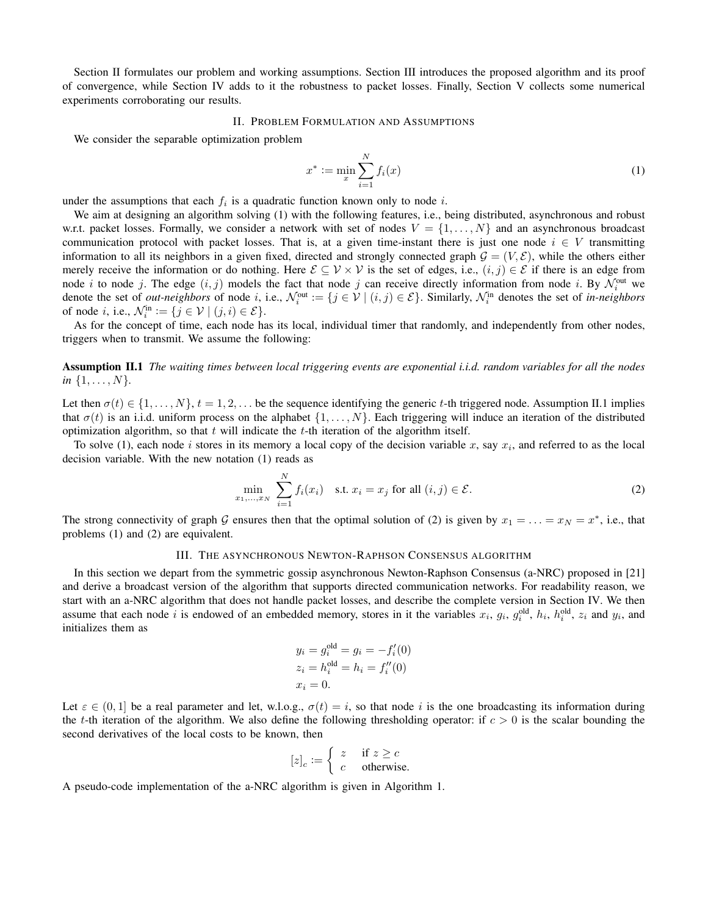Section II formulates our problem and working assumptions. Section III introduces the proposed algorithm and its proof of convergence, while Section IV adds to it the robustness to packet losses. Finally, Section V collects some numerical experiments corroborating our results.

# II. PROBLEM FORMULATION AND ASSUMPTIONS

We consider the separable optimization problem

$$
x^* := \min_x \sum_{i=1}^N f_i(x)
$$
 (1)

under the assumptions that each  $f_i$  is a quadratic function known only to node i.

We aim at designing an algorithm solving (1) with the following features, i.e., being distributed, asynchronous and robust w.r.t. packet losses. Formally, we consider a network with set of nodes  $V = \{1, \ldots, N\}$  and an asynchronous broadcast communication protocol with packet losses. That is, at a given time-instant there is just one node  $i \in V$  transmitting information to all its neighbors in a given fixed, directed and strongly connected graph  $G = (V, \mathcal{E})$ , while the others either merely receive the information or do nothing. Here  $\mathcal{E} \subseteq \mathcal{V} \times \mathcal{V}$  is the set of edges, i.e.,  $(i, j) \in \mathcal{E}$  if there is an edge from node *i* to node *j*. The edge  $(i, j)$  models the fact that node *j* can receive directly information from node *i*. By  $\mathcal{N}_i^{\text{out}}$  we denote the set of *out-neighbors* of node *i*, i.e.,  $\mathcal{N}_i^{\text{out}} := \{j \in \mathcal{V} \mid (i,j) \in \mathcal{E}\}\)$ . Similarly,  $\mathcal{N}_i^{\text{in}}$  denotes the set of *in-neighbors* of node *i*, i.e.,  $\mathcal{N}_i^{\text{in}} := \{j \in \mathcal{V} \mid (j, i) \in \mathcal{E}\}.$ 

As for the concept of time, each node has its local, individual timer that randomly, and independently from other nodes, triggers when to transmit. We assume the following:

Assumption II.1 *The waiting times between local triggering events are exponential i.i.d. random variables for all the nodes in*  $\{1, \ldots, N\}$ *.* 

Let then  $\sigma(t) \in \{1, \ldots, N\}, t = 1, 2, \ldots$  be the sequence identifying the generic t-th triggered node. Assumption II.1 implies that  $\sigma(t)$  is an i.i.d. uniform process on the alphabet  $\{1, \ldots, N\}$ . Each triggering will induce an iteration of the distributed optimization algorithm, so that  $t$  will indicate the  $t$ -th iteration of the algorithm itself.

To solve (1), each node i stores in its memory a local copy of the decision variable x, say  $x_i$ , and referred to as the local decision variable. With the new notation (1) reads as

$$
\min_{x_1,\dots,x_N} \sum_{i=1}^N f_i(x_i) \quad \text{s.t. } x_i = x_j \text{ for all } (i,j) \in \mathcal{E}.
$$
 (2)

The strong connectivity of graph G ensures then that the optimal solution of (2) is given by  $x_1 = \ldots = x_N = x^*$ , i.e., that problems (1) and (2) are equivalent.

#### III. THE ASYNCHRONOUS NEWTON-RAPHSON CONSENSUS ALGORITHM

In this section we depart from the symmetric gossip asynchronous Newton-Raphson Consensus (a-NRC) proposed in [21] and derive a broadcast version of the algorithm that supports directed communication networks. For readability reason, we start with an a-NRC algorithm that does not handle packet losses, and describe the complete version in Section IV. We then assume that each node i is endowed of an embedded memory, stores in it the variables  $x_i$ ,  $g_i$ ,  $g_i^{old}$ ,  $h_i$ ,  $h_i^{old}$ ,  $z_i$  and  $y_i$ , and initializes them as

$$
y_i = g_i^{\text{old}} = g_i = -f'_i(0)
$$
  
\n $z_i = h_i^{\text{old}} = h_i = f''_i(0)$   
\n $x_i = 0$ .

Let  $\varepsilon \in (0, 1]$  be a real parameter and let, w.l.o.g.,  $\sigma(t) = i$ , so that node i is the one broadcasting its information during the t-th iteration of the algorithm. We also define the following thresholding operator: if  $c > 0$  is the scalar bounding the second derivatives of the local costs to be known, then

$$
[z]_c := \begin{cases} z & \text{if } z \ge c \\ c & \text{otherwise.} \end{cases}
$$

A pseudo-code implementation of the a-NRC algorithm is given in Algorithm 1.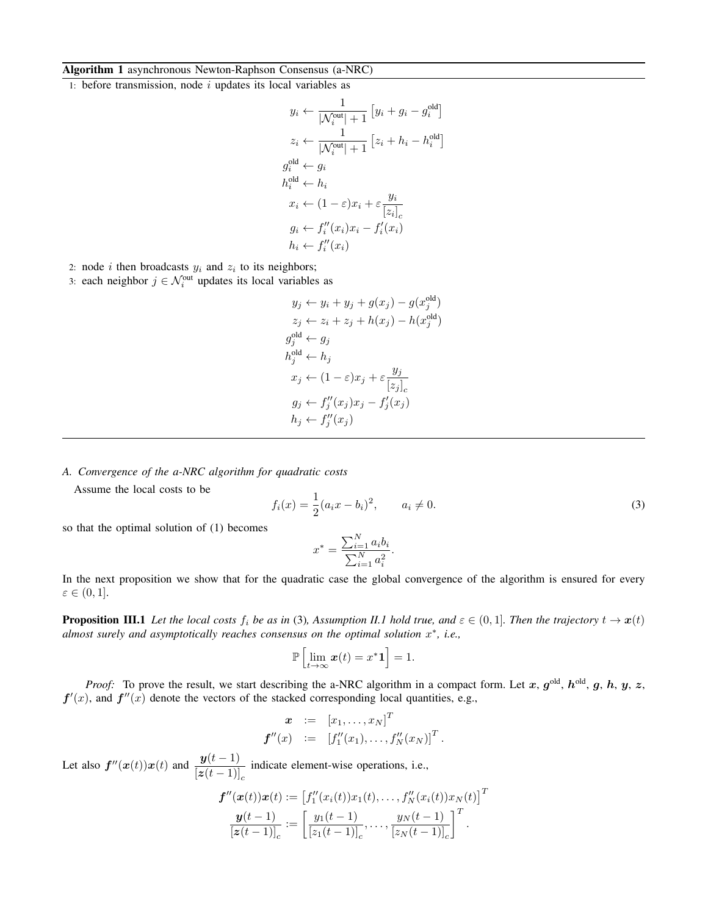## Algorithm 1 asynchronous Newton-Raphson Consensus (a-NRC)

1: before transmission, node  $i$  updates its local variables as

$$
y_i \leftarrow \frac{1}{|\mathcal{N}_i^{\text{out}}|+1} [y_i + g_i - g_i^{\text{old}}]
$$
  
\n
$$
z_i \leftarrow \frac{1}{|\mathcal{N}_i^{\text{out}}|+1} [z_i + h_i - h_i^{\text{old}}]
$$
  
\n
$$
g_i^{\text{old}} \leftarrow g_i
$$
  
\n
$$
h_i^{\text{old}} \leftarrow h_i
$$
  
\n
$$
x_i \leftarrow (1-\varepsilon)x_i + \varepsilon \frac{y_i}{[z_i]_c}
$$
  
\n
$$
g_i \leftarrow f_i''(x_i)x_i - f_i'(x_i)
$$
  
\n
$$
h_i \leftarrow f_i''(x_i)
$$

2: node *i* then broadcasts  $y_i$  and  $z_i$  to its neighbors;

3: each neighbor  $j \in \mathcal{N}_i^{\text{out}}$  updates its local variables as

$$
y_j \leftarrow y_i + y_j + g(x_j) - g(x_j^{\text{old}})
$$
  
\n
$$
z_j \leftarrow z_i + z_j + h(x_j) - h(x_j^{\text{old}})
$$
  
\n
$$
g_j^{\text{old}} \leftarrow g_j
$$
  
\n
$$
h_j^{\text{old}} \leftarrow h_j
$$
  
\n
$$
x_j \leftarrow (1 - \varepsilon)x_j + \varepsilon \frac{y_j}{[z_j]_c}
$$
  
\n
$$
g_j \leftarrow f''_j(x_j)x_j - f'_j(x_j)
$$
  
\n
$$
h_j \leftarrow f''_j(x_j)
$$

*A. Convergence of the a-NRC algorithm for quadratic costs*

Assume the local costs to be

$$
f_i(x) = \frac{1}{2}(a_i x - b_i)^2, \qquad a_i \neq 0.
$$
 (3)

old

so that the optimal solution of (1) becomes

$$
x^* = \frac{\sum_{i=1}^{N} a_i b_i}{\sum_{i=1}^{N} a_i^2}.
$$

In the next proposition we show that for the quadratic case the global convergence of the algorithm is ensured for every  $\varepsilon \in (0,1].$ 

**Proposition III.1** Let the local costs  $f_i$  be as in (3), Assumption II.1 hold true, and  $\varepsilon \in (0,1]$ . Then the trajectory  $t \to x(t)$ *almost surely and asymptotically reaches consensus on the optimal solution* x ∗ *, i.e.,*

$$
\mathbb{P}\left[\lim_{t\to\infty} \boldsymbol{x}(t) = x^*\boldsymbol{1}\right] = 1.
$$

*Proof:* To prove the result, we start describing the a-NRC algorithm in a compact form. Let x,  $g^{\text{old}}$ ,  $h^{\text{old}}$ ,  $g$ ,  $h$ ,  $y$ ,  $z$ ,  $f'(x)$ , and  $f''(x)$  denote the vectors of the stacked corresponding local quantities, e.g.,

$$
\begin{array}{rcl} \boldsymbol{x} & := & [x_1, \ldots, x_N]^T \\ \boldsymbol{f}''(x) & := & [f_1''(x_1), \ldots, f_N''(x_N)]^T \, . \end{array}
$$

Let also  $f''(x(t))x(t)$  and  $\frac{y(t-1)}{x(t-1)}$  $\frac{g(c-2)}{[z(t-1)]_c}$  indicate element-wise operations, i.e.,

$$
\boldsymbol{f}''(\boldsymbol{x}(t))\boldsymbol{x}(t) := \left[f_1''(x_i(t))x_1(t), \ldots, f_N''(x_i(t))x_N(t)\right]^T
$$

$$
\frac{\boldsymbol{y}(t-1)}{[\boldsymbol{z}(t-1)]_c} := \left[\frac{y_1(t-1)}{[z_1(t-1)]_c}, \ldots, \frac{y_N(t-1)}{[z_N(t-1)]_c}\right]^T.
$$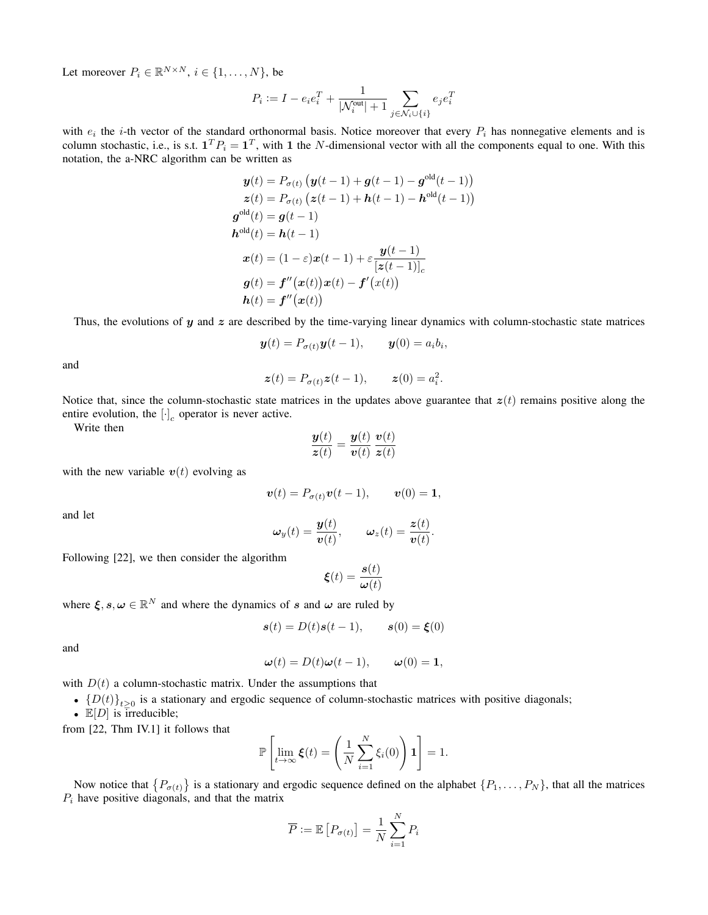Let moreover  $P_i \in \mathbb{R}^{N \times N}$ ,  $i \in \{1, ..., N\}$ , be

$$
P_i := I - e_i e_i^T + \frac{1}{|\mathcal{N}_i^{\mathrm{out}}|+1} \sum_{j \in \mathcal{N}_i \cup \{i\}} e_j e_i^T
$$

with  $e_i$  the *i*-th vector of the standard orthonormal basis. Notice moreover that every  $P_i$  has nonnegative elements and is column stochastic, i.e., is s.t.  $\mathbf{1}^T P_i = \mathbf{1}^T$ , with 1 the N-dimensional vector with all the components equal to one. With this notation, the a-NRC algorithm can be written as

$$
\mathbf{y}(t) = P_{\sigma(t)} \left( \mathbf{y}(t-1) + \mathbf{g}(t-1) - \mathbf{g}^{\text{old}}(t-1) \right)
$$
  
\n
$$
\mathbf{z}(t) = P_{\sigma(t)} \left( \mathbf{z}(t-1) + \mathbf{h}(t-1) - \mathbf{h}^{\text{old}}(t-1) \right)
$$
  
\n
$$
\mathbf{g}^{\text{old}}(t) = \mathbf{g}(t-1)
$$
  
\n
$$
\mathbf{h}^{\text{old}}(t) = \mathbf{h}(t-1)
$$
  
\n
$$
\mathbf{x}(t) = (1 - \varepsilon)\mathbf{x}(t-1) + \varepsilon \frac{\mathbf{y}(t-1)}{[\mathbf{z}(t-1)]_c}
$$
  
\n
$$
\mathbf{g}(t) = \mathbf{f}''(\mathbf{x}(t))\mathbf{x}(t) - \mathbf{f}'(\mathbf{x}(t))
$$
  
\n
$$
\mathbf{h}(t) = \mathbf{f}''(\mathbf{x}(t))
$$

Thus, the evolutions of  $y$  and  $z$  are described by the time-varying linear dynamics with column-stochastic state matrices

$$
\boldsymbol{y}(t) = P_{\sigma(t)} \boldsymbol{y}(t-1), \qquad \boldsymbol{y}(0) = a_i b_i,
$$

and

$$
\boldsymbol{z}(t) = P_{\sigma(t)} \boldsymbol{z}(t-1), \qquad \boldsymbol{z}(0) = a_i^2.
$$

Notice that, since the column-stochastic state matrices in the updates above guarantee that  $z(t)$  remains positive along the entire evolution, the  $[\cdot]_c$  operator is never active.

Write then

$$
\frac{\mathbf{y}(t)}{\mathbf{z}(t)} = \frac{\mathbf{y}(t)}{\mathbf{v}(t)} \frac{\mathbf{v}(t)}{\mathbf{z}(t)}
$$

with the new variable  $v(t)$  evolving as

$$
\boldsymbol{v}(t) = P_{\sigma(t)} \boldsymbol{v}(t-1), \qquad \boldsymbol{v}(0) = \mathbf{1},
$$

and let

$$
\boldsymbol{\omega}_y(t) = \frac{\boldsymbol{y}(t)}{\boldsymbol{v}(t)}, \qquad \boldsymbol{\omega}_z(t) = \frac{\boldsymbol{z}(t)}{\boldsymbol{v}(t)}.
$$

Following [22], we then consider the algorithm

$$
\boldsymbol{\xi}(t) = \frac{\boldsymbol{s}(t)}{\boldsymbol{\omega}(t)}
$$

where  $\xi, s, \omega \in \mathbb{R}^N$  and where the dynamics of s and  $\omega$  are ruled by

$$
\mathbf{s}(t) = D(t)\mathbf{s}(t-1), \qquad \mathbf{s}(0) = \boldsymbol{\xi}(0)
$$

and

$$
\boldsymbol{\omega}(t) = D(t)\boldsymbol{\omega}(t-1), \qquad \boldsymbol{\omega}(0) = \mathbf{1},
$$

with  $D(t)$  a column-stochastic matrix. Under the assumptions that

- ${D(t)}_{t\geq0}$  is a stationary and ergodic sequence of column-stochastic matrices with positive diagonals;
- $\mathbb{E}[D]$  is irreducible;

from [22, Thm IV.1] it follows that

$$
\mathbb{P}\left[\lim_{t\to\infty}\xi(t)=\left(\frac{1}{N}\sum_{i=1}^N\xi_i(0)\right)\mathbf{1}\right]=1.
$$

Now notice that  $\{P_{\sigma(t)}\}$  is a stationary and ergodic sequence defined on the alphabet  $\{P_1, \ldots, P_N\}$ , that all the matrices  $P_i$  have positive diagonals, and that the matrix

$$
\overline{P} := \mathbb{E}\left[P_{\sigma(t)}\right] = \frac{1}{N} \sum_{i=1}^{N} P_i
$$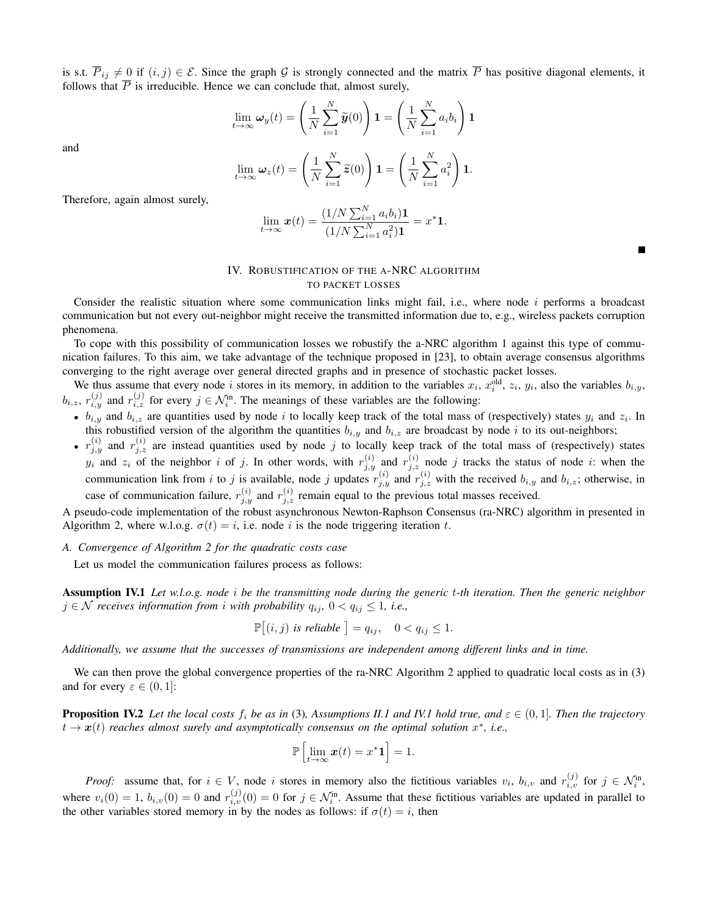is s.t.  $\overline{P}_{ij} \neq 0$  if  $(i, j) \in \mathcal{E}$ . Since the graph G is strongly connected and the matrix  $\overline{P}$  has positive diagonal elements, it follows that  $\overline{P}$  is irreducible. Hence we can conclude that, almost surely,

$$
\lim_{t \to \infty} \omega_y(t) = \left(\frac{1}{N} \sum_{i=1}^N \widetilde{y}(0)\right) \mathbf{1} = \left(\frac{1}{N} \sum_{i=1}^N a_i b_i\right) \mathbf{1}
$$

$$
\lim_{t \to \infty} \omega_z(t) = \left(\frac{1}{N} \sum_{i=1}^N \widetilde{z}(0)\right) \mathbf{1} = \left(\frac{1}{N} \sum_{i=1}^N a_i^2\right) \mathbf{1}.
$$

Therefore, again almost surely,

and

$$
\lim_{t \to \infty} \boldsymbol{x}(t) = \frac{(1/N \sum_{i=1}^{N} a_i b_i) \mathbf{1}}{(1/N \sum_{i=1}^{N} a_i^2) \mathbf{1}} = x^* \mathbf{1}.
$$

# IV. ROBUSTIFICATION OF THE A-NRC ALGORITHM TO PACKET LOSSES

Consider the realistic situation where some communication links might fail, i.e., where node  $i$  performs a broadcast communication but not every out-neighbor might receive the transmitted information due to, e.g., wireless packets corruption phenomena.

To cope with this possibility of communication losses we robustify the a-NRC algorithm 1 against this type of communication failures. To this aim, we take advantage of the technique proposed in [23], to obtain average consensus algorithms converging to the right average over general directed graphs and in presence of stochastic packet losses.

We thus assume that every node i stores in its memory, in addition to the variables  $x_i$ ,  $x_i^{\text{old}}$ ,  $z_i$ ,  $y_i$ , also the variables  $b_{i,y}$ ,  $b_{i,z}$ ,  $r_{i,y}^{(j)}$  and  $r_{i,z}^{(j)}$  for every  $j \in \mathcal{N}_i^{\text{in}}$ . The meanings of these variables are the following:

- $b_{i,y}$  and  $b_{i,z}$  are quantities used by node i to locally keep track of the total mass of (respectively) states  $y_i$  and  $z_i$ . In this robustified version of the algorithm the quantities  $b_{i,y}$  and  $b_{i,z}$  are broadcast by node i to its out-neighbors;
- $r_{j,y}^{(i)}$  and  $r_{j,z}^{(i)}$  are instead quantities used by node j to locally keep track of the total mass of (respectively) states  $y_i$  and  $z_i$  of the neighbor i of j. In other words, with  $r_{j,y}^{(i)}$  and  $r_{j,z}^{(i)}$  node j tracks the status of node i: when the communication link from i to j is available, node j updates  $r_{j,y}^{(i)}$  and  $r_{j,z}^{(i)}$  with the received  $b_{i,y}$  and  $b_{i,z}$ ; otherwise, in case of communication failure,  $r_{j,y}^{(i)}$  and  $r_{j,z}^{(i)}$  remain equal to the previous total masses received.

A pseudo-code implementation of the robust asynchronous Newton-Raphson Consensus (ra-NRC) algorithm in presented in Algorithm 2, where w.l.o.g.  $\sigma(t) = i$ , i.e. node i is the node triggering iteration t.

*A. Convergence of Algorithm 2 for the quadratic costs case*

Let us model the communication failures process as follows:

Assumption IV.1 *Let w.l.o.g. node* i *be the transmitting node during the generic* t*-th iteration. Then the generic neighbor j* ∈ *N receives information from i with probability*  $q_{ij}$ , 0 <  $q_{ij}$  ≤ 1, *i.e.*,

$$
\mathbb{P}[(i,j) \text{ is reliable }] = q_{ij}, \quad 0 < q_{ij} \leq 1.
$$

*Additionally, we assume that the successes of transmissions are independent among different links and in time.*

We can then prove the global convergence properties of the ra-NRC Algorithm 2 applied to quadratic local costs as in (3) and for every  $\varepsilon \in (0,1]$ :

**Proposition IV.2** Let the local costs  $f_i$  be as in (3), Assumptions II.1 and IV.1 hold true, and  $\varepsilon \in (0,1]$ . Then the trajectory  $t \to \boldsymbol{x}(t)$  reaches almost surely and asymptotically consensus on the optimal solution  $x^*$ , i.e.,

$$
\mathbb{P}\left[\lim_{t\to\infty} \boldsymbol{x}(t) = x^*\boldsymbol{1}\right] = 1.
$$

*Proof:* assume that, for  $i \in V$ , node i stores in memory also the fictitious variables  $v_i$ ,  $b_{i,v}$  and  $r_{i,v}^{(j)}$  for  $j \in \mathcal{N}_i^{\text{in}}$ , where  $v_i(0) = 1$ ,  $b_{i,v}(0) = 0$  and  $r_{i,v}^{(j)}(0) = 0$  for  $j \in \mathcal{N}_i^{\text{in}}$ . Assume that these fictitious variables are updated in parallel to the other variables stored memory in by the nodes as follows: if  $\sigma(t) = i$ , then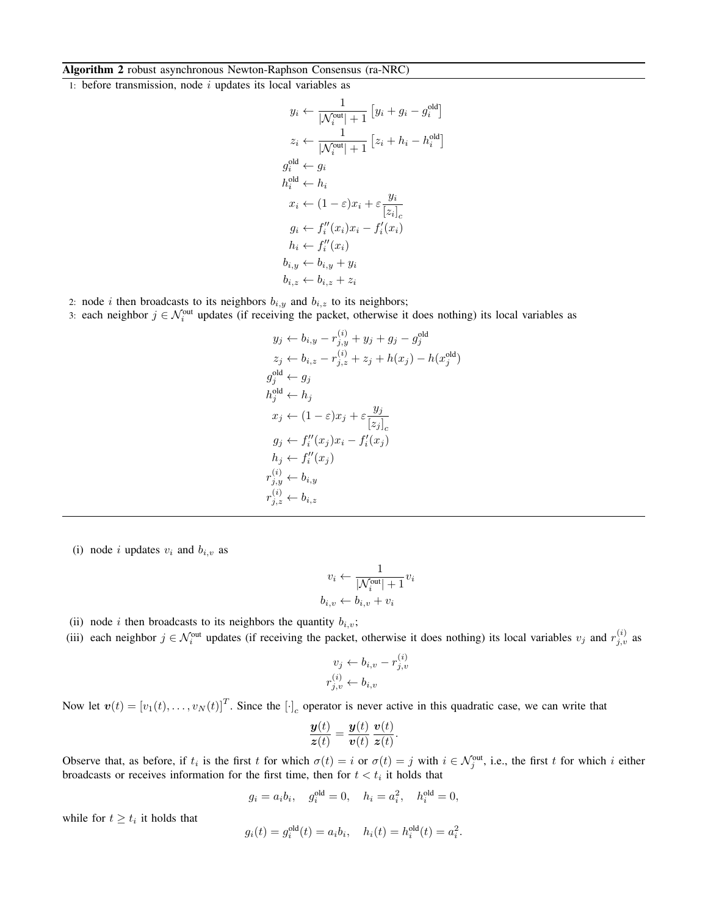# Algorithm 2 robust asynchronous Newton-Raphson Consensus (ra-NRC)

1: before transmission, node  $i$  updates its local variables as

$$
y_i \leftarrow \frac{1}{|\mathcal{N}_i^{\text{out}}|+1} [y_i + g_i - g_i^{\text{old}}]
$$
  
\n
$$
z_i \leftarrow \frac{1}{|\mathcal{N}_i^{\text{out}}|+1} [z_i + h_i - h_i^{\text{old}}]
$$
  
\n
$$
g_i^{\text{old}} \leftarrow g_i
$$
  
\n
$$
h_i^{\text{old}} \leftarrow h_i
$$
  
\n
$$
x_i \leftarrow (1-\varepsilon)x_i + \varepsilon \frac{y_i}{[z_i]_c}
$$
  
\n
$$
g_i \leftarrow f_i''(x_i)x_i - f_i'(x_i)
$$
  
\n
$$
h_i \leftarrow f_i''(x_i)
$$
  
\n
$$
b_{i,y} \leftarrow b_{i,y} + y_i
$$
  
\n
$$
b_{i,z} \leftarrow b_{i,z} + z_i
$$

2: node *i* then broadcasts to its neighbors  $b_{i,y}$  and  $b_{i,z}$  to its neighbors;

3: each neighbor  $j \in \mathcal{N}_i^{\text{out}}$  updates (if receiving the packet, otherwise it does nothing) its local variables as

$$
y_j \leftarrow b_{i,y} - r_{j,y}^{(i)} + y_j + g_j - g_j^{\text{old}}
$$
  
\n
$$
z_j \leftarrow b_{i,z} - r_{j,z}^{(i)} + z_j + h(x_j) - h(x_j^{\text{old}})
$$
  
\n
$$
g_j^{\text{old}} \leftarrow g_j
$$
  
\n
$$
h_j^{\text{old}} \leftarrow h_j
$$
  
\n
$$
x_j \leftarrow (1 - \varepsilon)x_j + \varepsilon \frac{y_j}{[z_j]_c}
$$
  
\n
$$
g_j \leftarrow f_i''(x_j)x_i - f_i'(x_j)
$$
  
\n
$$
h_j \leftarrow f_i''(x_j)
$$
  
\n
$$
r_{j,y}^{(i)} \leftarrow b_{i,y}
$$
  
\n
$$
r_{j,z}^{(i)} \leftarrow b_{i,z}
$$

(i) node i updates  $v_i$  and  $b_{i,v}$  as

$$
v_i \leftarrow \frac{1}{|\mathcal{N}_i^{\text{out}}|+1} v_i
$$

$$
b_{i,v} \leftarrow b_{i,v} + v_i
$$

(ii) node i then broadcasts to its neighbors the quantity  $b_{i,v}$ ;

(iii) each neighbor  $j \in \mathcal{N}_i^{\text{out}}$  updates (if receiving the packet, otherwise it does nothing) its local variables  $v_j$  and  $r_{j,v}^{(i)}$  as

$$
v_j \leftarrow b_{i,v} - r_{j,v}^{(i)}
$$

$$
r_{j,v}^{(i)} \leftarrow b_{i,v}
$$

Now let  $\mathbf{v}(t) = [v_1(t), \dots, v_N(t)]^T$ . Since the  $[\cdot]_c$  operator is never active in this quadratic case, we can write that

$$
\frac{\mathbf{y}(t)}{\mathbf{z}(t)} = \frac{\mathbf{y}(t)}{\mathbf{v}(t)} \frac{\mathbf{v}(t)}{\mathbf{z}(t)}.
$$

Observe that, as before, if  $t_i$  is the first t for which  $\sigma(t) = i$  or  $\sigma(t) = j$  with  $i \in \mathcal{N}_j^{\text{out}}$ , i.e., the first t for which i either broadcasts or receives information for the first time, then for  $t < t_i$  it holds that

$$
g_i = a_i b_i
$$
,  $g_i^{\text{old}} = 0$ ,  $h_i = a_i^2$ ,  $h_i^{\text{old}} = 0$ ,

while for  $t \geq t_i$  it holds that

$$
g_i(t) = g_i^{\text{old}}(t) = a_i b_i, \quad h_i(t) = h_i^{\text{old}}(t) = a_i^2.
$$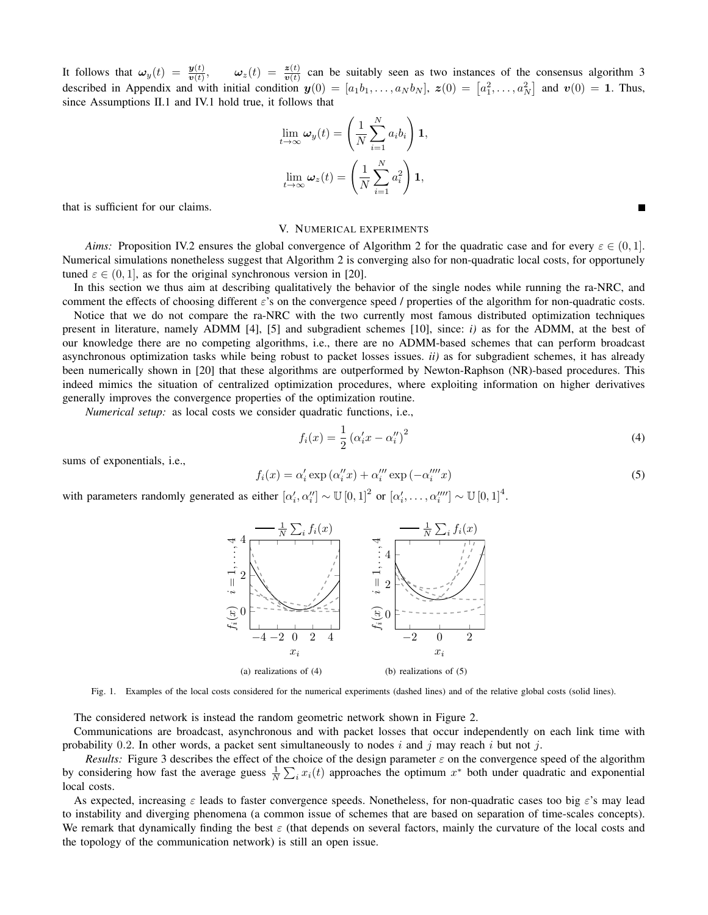It follows that  $\omega_y(t) = \frac{y(t)}{v(t)}$ ,  $\omega_z(t) = \frac{z(t)}{v(t)}$  can be suitably seen as two instances of the consensus algorithm 3 described in Appendix and with initial condition  $y(0) = [a_1b_1, \ldots, a_Nb_N]$ ,  $z(0) = [a_1^2, \ldots, a_N^2]$  and  $v(0) = 1$ . Thus, since Assumptions II.1 and IV.1 hold true, it follows that

$$
\lim_{t \to \infty} \omega_y(t) = \left(\frac{1}{N} \sum_{i=1}^N a_i b_i\right) \mathbf{1},
$$

$$
\lim_{t \to \infty} \omega_z(t) = \left(\frac{1}{N} \sum_{i=1}^N a_i^2\right) \mathbf{1},
$$

that is sufficient for our claims.

#### V. NUMERICAL EXPERIMENTS

*Aims:* Proposition IV.2 ensures the global convergence of Algorithm 2 for the quadratic case and for every  $\varepsilon \in (0,1]$ . Numerical simulations nonetheless suggest that Algorithm 2 is converging also for non-quadratic local costs, for opportunely tuned  $\varepsilon \in (0, 1]$ , as for the original synchronous version in [20].

In this section we thus aim at describing qualitatively the behavior of the single nodes while running the ra-NRC, and comment the effects of choosing different  $\varepsilon$ 's on the convergence speed / properties of the algorithm for non-quadratic costs.

Notice that we do not compare the ra-NRC with the two currently most famous distributed optimization techniques present in literature, namely ADMM [4], [5] and subgradient schemes [10], since: *i)* as for the ADMM, at the best of our knowledge there are no competing algorithms, i.e., there are no ADMM-based schemes that can perform broadcast asynchronous optimization tasks while being robust to packet losses issues. *ii)* as for subgradient schemes, it has already been numerically shown in [20] that these algorithms are outperformed by Newton-Raphson (NR)-based procedures. This indeed mimics the situation of centralized optimization procedures, where exploiting information on higher derivatives generally improves the convergence properties of the optimization routine.

*Numerical setup:* as local costs we consider quadratic functions, i.e.,

$$
f_i(x) = \frac{1}{2} \left( \alpha'_i x - \alpha''_i \right)^2 \tag{4}
$$

sums of exponentials, i.e.,

$$
f_i(x) = \alpha_i' \exp\left(\alpha_i'' x\right) + \alpha_i''' \exp\left(-\alpha_i'''' x\right) \tag{5}
$$

with parameters randomly generated as either  $[\alpha'_i, \alpha''_i] \sim \mathbb{U}[0, 1]^2$  or  $[\alpha'_i, \dots, \alpha'''_i] \sim \mathbb{U}[0, 1]^4$ .



Fig. 1. Examples of the local costs considered for the numerical experiments (dashed lines) and of the relative global costs (solid lines).

The considered network is instead the random geometric network shown in Figure 2.

Communications are broadcast, asynchronous and with packet losses that occur independently on each link time with probability 0.2. In other words, a packet sent simultaneously to nodes i and j may reach i but not j.

*Results:* Figure 3 describes the effect of the choice of the design parameter  $\varepsilon$  on the convergence speed of the algorithm by considering how fast the average guess  $\frac{1}{N} \sum_i x_i(t)$  approaches the optimum  $x^*$  both under quadratic and exponential local costs.

As expected, increasing  $\varepsilon$  leads to faster convergence speeds. Nonetheless, for non-quadratic cases too big  $\varepsilon$ 's may lead to instability and diverging phenomena (a common issue of schemes that are based on separation of time-scales concepts). We remark that dynamically finding the best  $\varepsilon$  (that depends on several factors, mainly the curvature of the local costs and the topology of the communication network) is still an open issue.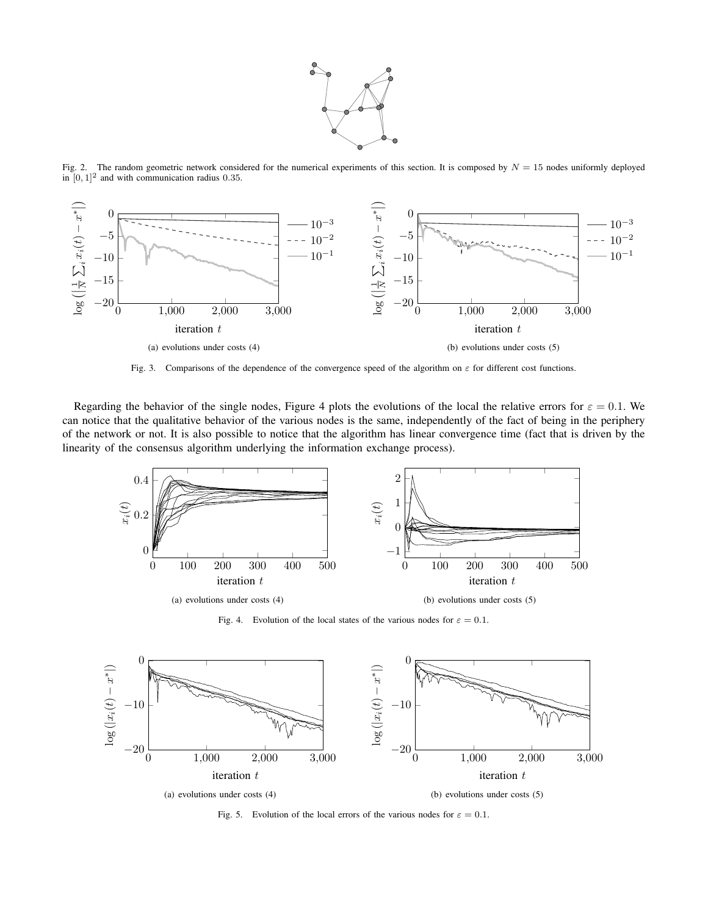

Fig. 2. The random geometric network considered for the numerical experiments of this section. It is composed by  $N = 15$  nodes uniformly deployed in  $[0, 1]^2$  and with communication radius 0.35.



Fig. 3. Comparisons of the dependence of the convergence speed of the algorithm on  $\varepsilon$  for different cost functions.

Regarding the behavior of the single nodes, Figure 4 plots the evolutions of the local the relative errors for  $\varepsilon = 0.1$ . We can notice that the qualitative behavior of the various nodes is the same, independently of the fact of being in the periphery of the network or not. It is also possible to notice that the algorithm has linear convergence time (fact that is driven by the linearity of the consensus algorithm underlying the information exchange process).



Fig. 4. Evolution of the local states of the various nodes for  $\varepsilon = 0.1$ .



Fig. 5. Evolution of the local errors of the various nodes for  $\varepsilon = 0.1$ .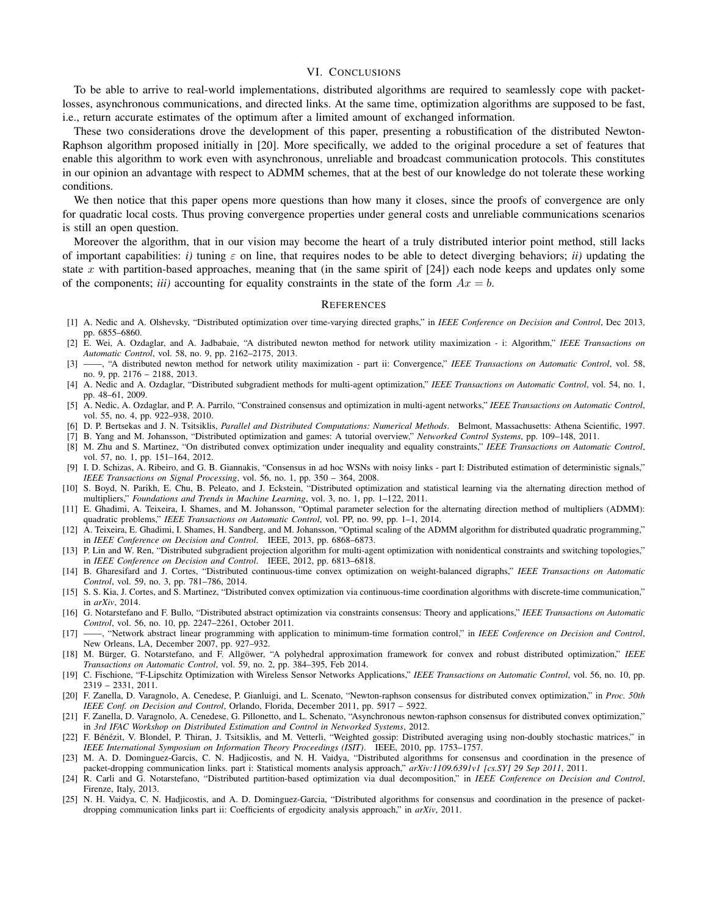#### VI. CONCLUSIONS

To be able to arrive to real-world implementations, distributed algorithms are required to seamlessly cope with packetlosses, asynchronous communications, and directed links. At the same time, optimization algorithms are supposed to be fast, i.e., return accurate estimates of the optimum after a limited amount of exchanged information.

These two considerations drove the development of this paper, presenting a robustification of the distributed Newton-Raphson algorithm proposed initially in [20]. More specifically, we added to the original procedure a set of features that enable this algorithm to work even with asynchronous, unreliable and broadcast communication protocols. This constitutes in our opinion an advantage with respect to ADMM schemes, that at the best of our knowledge do not tolerate these working conditions.

We then notice that this paper opens more questions than how many it closes, since the proofs of convergence are only for quadratic local costs. Thus proving convergence properties under general costs and unreliable communications scenarios is still an open question.

Moreover the algorithm, that in our vision may become the heart of a truly distributed interior point method, still lacks of important capabilities: *i*) tuning  $\varepsilon$  on line, that requires nodes to be able to detect diverging behaviors; *ii*) updating the state x with partition-based approaches, meaning that (in the same spirit of  $[24]$ ) each node keeps and updates only some of the components; *iii*) accounting for equality constraints in the state of the form  $Ax = b$ .

#### **REFERENCES**

- [1] A. Nedic and A. Olshevsky, "Distributed optimization over time-varying directed graphs," in *IEEE Conference on Decision and Control*, Dec 2013, pp. 6855–6860.
- [2] E. Wei, A. Ozdaglar, and A. Jadbabaie, "A distributed newton method for network utility maximization i: Algorithm," *IEEE Transactions on Automatic Control*, vol. 58, no. 9, pp. 2162–2175, 2013.
- [3] ——, "A distributed newton method for network utility maximization part ii: Convergence," *IEEE Transactions on Automatic Control*, vol. 58, no. 9, pp. 2176 – 2188, 2013.
- [4] A. Nedic and A. Ozdaglar, "Distributed subgradient methods for multi-agent optimization," *IEEE Transactions on Automatic Control*, vol. 54, no. 1, pp. 48–61, 2009.
- [5] A. Nedic, A. Ozdaglar, and P. A. Parrilo, "Constrained consensus and optimization in multi-agent networks," *IEEE Transactions on Automatic Control*, vol. 55, no. 4, pp. 922–938, 2010.
- [6] D. P. Bertsekas and J. N. Tsitsiklis, *Parallel and Distributed Computations: Numerical Methods*. Belmont, Massachusetts: Athena Scientific, 1997.
- [7] B. Yang and M. Johansson, "Distributed optimization and games: A tutorial overview," *Networked Control Systems*, pp. 109–148, 2011.
- [8] M. Zhu and S. Martinez, "On distributed convex optimization under inequality and equality constraints," *IEEE Transactions on Automatic Control*, vol. 57, no. 1, pp. 151–164, 2012.
- [9] I. D. Schizas, A. Ribeiro, and G. B. Giannakis, "Consensus in ad hoc WSNs with noisy links part I: Distributed estimation of deterministic signals," *IEEE Transactions on Signal Processing*, vol. 56, no. 1, pp. 350 – 364, 2008.
- [10] S. Boyd, N. Parikh, E. Chu, B. Peleato, and J. Eckstein, "Distributed optimization and statistical learning via the alternating direction method of multipliers," *Foundations and Trends in Machine Learning*, vol. 3, no. 1, pp. 1–122, 2011.
- [11] E. Ghadimi, A. Teixeira, I. Shames, and M. Johansson, "Optimal parameter selection for the alternating direction method of multipliers (ADMM): quadratic problems," *IEEE Transactions on Automatic Control*, vol. PP, no. 99, pp. 1–1, 2014.
- [12] A. Teixeira, E. Ghadimi, I. Shames, H. Sandberg, and M. Johansson, "Optimal scaling of the ADMM algorithm for distributed quadratic programming," in *IEEE Conference on Decision and Control*. IEEE, 2013, pp. 6868–6873.
- [13] P. Lin and W. Ren, "Distributed subgradient projection algorithm for multi-agent optimization with nonidentical constraints and switching topologies," in *IEEE Conference on Decision and Control*. IEEE, 2012, pp. 6813–6818.
- [14] B. Gharesifard and J. Cortes, "Distributed continuous-time convex optimization on weight-balanced digraphs," *IEEE Transactions on Automatic Control*, vol. 59, no. 3, pp. 781–786, 2014.
- [15] S. S. Kia, J. Cortes, and S. Martinez, "Distributed convex optimization via continuous-time coordination algorithms with discrete-time communication," in *arXiv*, 2014.
- [16] G. Notarstefano and F. Bullo, "Distributed abstract optimization via constraints consensus: Theory and applications," *IEEE Transactions on Automatic Control*, vol. 56, no. 10, pp. 2247–2261, October 2011.
- [17] ——, "Network abstract linear programming with application to minimum-time formation control," in *IEEE Conference on Decision and Control*, New Orleans, LA, December 2007, pp. 927–932.
- [18] M. Bürger, G. Notarstefano, and F. Allgöwer, "A polyhedral approximation framework for convex and robust distributed optimization," IEEE *Transactions on Automatic Control*, vol. 59, no. 2, pp. 384–395, Feb 2014.
- [19] C. Fischione, "F-Lipschitz Optimization with Wireless Sensor Networks Applications," *IEEE Transactions on Automatic Control*, vol. 56, no. 10, pp. 2319 – 2331, 2011.
- [20] F. Zanella, D. Varagnolo, A. Cenedese, P. Gianluigi, and L. Scenato, "Newton-raphson consensus for distributed convex optimization," in *Proc. 50th IEEE Conf. on Decision and Control*, Orlando, Florida, December 2011, pp. 5917 – 5922.
- [21] F. Zanella, D. Varagnolo, A. Cenedese, G. Pillonetto, and L. Schenato, "Asynchronous newton-raphson consensus for distributed convex optimization," in *3rd IFAC Workshop on Distributed Estimation and Control in Networked Systems*, 2012.
- [22] F. Bénézit, V. Blondel, P. Thiran, J. Tsitsiklis, and M. Vetterli, "Weighted gossip: Distributed averaging using non-doubly stochastic matrices," in *IEEE International Symposium on Information Theory Proceedings (ISIT)*. IEEE, 2010, pp. 1753–1757.
- [23] M. A. D. Dominguez-Garcis, C. N. Hadjicostis, and N. H. Vaidya, "Distributed algorithms for consensus and coordination in the presence of packet-dropping communication links. part i: Statistical moments analysis approach," *arXiv:1109.6391v1 [cs.SY] 29 Sep 2011*, 2011.
- [24] R. Carli and G. Notarstefano, "Distributed partition-based optimization via dual decomposition," in *IEEE Conference on Decision and Control*, Firenze, Italy, 2013.
- [25] N. H. Vaidya, C. N. Hadjicostis, and A. D. Dominguez-Garcia, "Distributed algorithms for consensus and coordination in the presence of packetdropping communication links part ii: Coefficients of ergodicity analysis approach," in *arXiv*, 2011.